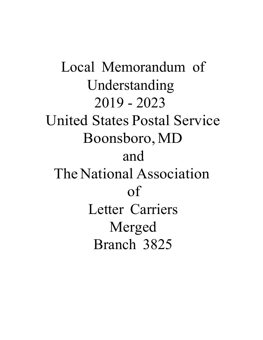Local Memorandum of Understanding 2019 - 2023 United States Postal Service Boonsboro, MD and The National Association of Letter Carriers Merged Branch 3825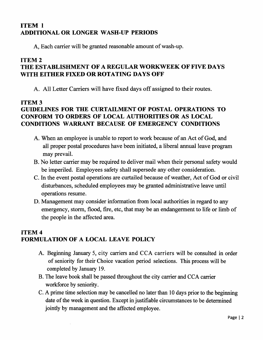# ITEM I ADDITIONAL OR LONGER WASH-UP PERIODS

A, Each carrier will be granted reasonable amount of wash-up.

## ITEM 2 THE ESTABLISHMENT OF A REGULAR WORKWEEK OF FIVE DAYS WITH EITHER FIXED OR ROTATING DAYS OFF

A. All Letter Carriers will have fixed days off assigned to their routes.

## ITEM 3

# GUIDELINES FOR THE CURTAILMENT OF POSTAL OPERATIONS TO CONFORM TO ORDERS OF LOCAL AUTHORITIES OR AS LOCAL CONDITIONS WARRANT BECAUSE OF EMERGENCY CONDITIONS

- A. When an employee is unable to report to work because of an Act of God, and all proper postal procedures have been initiated, a liberal annual leave program may prevail.
- B. No letter carrier may be required to deliver mail when their personal safety would be imperiled. Employees safety shall supersede any other consideration.
- C. In the event postal operations are curtailed because of weather, Act of God or civil disturbances, scheduled employees may be granted administrative leave until operations resume.
- D. Management may consider information from local authorities in regard to any emergency, storm, flood, fire, etc, that may be an endangerment to life or limb of the people in the affected area.

# ITEM 4 FORMULATION OF A LOCAL LEAVE POLICY

- A. Beginning January 5, city carriers and CCA carriers will be consulted in order of seniority for their Choice vacation period selections. This process will be completed by January 19.
- B. The leave book shall be passed throughout the city carrier and CCA carrier workforce by seniority.
- C. A prime time selection may be cancelled no later than 10 days prior to the beginning date of the week in question. Except in justifiable circumstances to be determined jointly by management and the affected employee.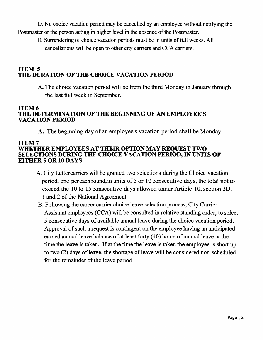D. No choice vacation period may be cancelled by an employee without notifying the Postmaster or the person acting in higher level in the absence of the Postmaster.

E. Surrendering of choice vacation periods must be in units of full weeks. All cancellations will be open to other city carriers and CCA carriers.

## ITEM 5 THE DURATION OF THE CHOICE VACATION PERIOD

A. The choice vacation period will be from the third Monday in January through the last full week in September.

#### ITEM 6 THE DETERMINATION OF THE BEGINNING OF AN EMPLOYEE'S VACATION PERIOD

A. The beginning day of an employee's vacation period shall be Monday.

#### ITEM 7 WHETHER EMPLOYEES AT THEIR OPTION MAY REQUEST TWO SELECTIONS DURING THE CHOICE VACATION PERIOD, IN UNITS OF EITHER 5 OR 10 DAYS

- A. City Lettercarriers will be granted two selections during the Choice vacation period, one per each round, in units of 5 or 10 consecutive days, the total not to exceed the 10 to 15 consecutive days allowed under Article 10, section 3D, 1 and 2 of the National Agreement.
- B. Following the career carrier choice leave selection process, City Carrier Assistant employees (CCA) will be consulted in relative standing order, to select 5 consecutive days of available annual leave during the choice vacation period. Approval of such a request is contingent on the employee having an anticipated earned annual leave balance of at least forty (40) hours of annual leave at the time the leave is taken. If at the time the leave is taken the employee is short up to two (2) days of leave, the shortage of leave will be considered non-scheduled for the remainder of the leave period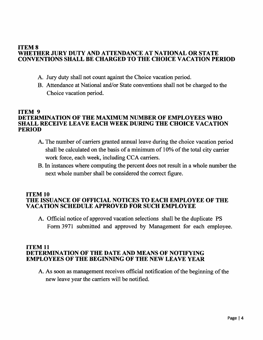#### ITEM 8 WHETHER JURy DUTY AND ATTENDANCE AT NATIONAL OR STATE CONVENTIONS SHALL BE CHARGED TO THE CHOICE VACATION PERIOD

- A. Jury duty shall not count against the Choice vacation period.
- B. Attendance at National and/or State conventions shall not be charged to the Choice vacation period.

#### ITEM 9 DETERMINATION OF THE MAXIMUM NUMBER OF EMPLOYEES WHO SHALL RECEIVE LEAVE EACH WEEK DURING THE CHOICE VACATION PERIOD

- A. The number of carriers granted annual leave during the choice vacation period shall be calculated on the basis of a minimum of 10% of the total city carrier work force, each week, including CCA carriers.
- B. In instances where computing the percent does not result in a whole number the next whole number shall be considered the correct figure.

#### ITEM 10 THE ISSUANCE OF OFFICIAL NOTICES TO EACH EMPLOYEE OF THE VACATION SCHEDULE APPROVED FOR SUCH EMPLOYEE

A. Official notice of approved vacation selections shall be the duplicate PS Form 3971 submitted and approved by Management for each employee.

#### ITEM 11 DETERMINATION OF THE DATE AND MEANS OF NOTIFYING EMPLOYEES OF THE BEGINNING OF THE NEW LEAVE YEAR

A. As soon as management receives official notification of the beginning of the new leave year the carriers will be notified.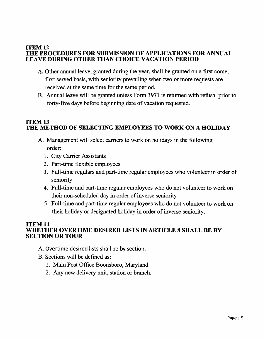#### ITEM 12 THE PROCEDURES FOR SUBMISSION OF APPLICATIONS FOR ANNUAL LEAVE DURING OTHER THAN CHOICE VACATION PERIOD

- A. Other annual leave, granted during the year, shall be granted on a first come, first served basis, with seniority prevailing when two or more requests are received at the same time for the same period.
- B. Annual leave will be granted unless Form 3971 is returned with refusal prior to forty-five days before beginning date of vacation requested.

#### ITEM 13 THE METHOD OF SELECTING EMPLOYEES TO WORK ON A HOLIDAY

- A. Management will select carriers to work on holidays in the following order:
	- 1. City Carrier Assistants
	- 2. Part-time flexible employees
	- 3. Full-time regulars and part-time regular employees who volunteer in order of seniority
	- 4. Full-time and part-time regular employees who do not volunteer to work on their non-scheduled day in order of inverse seniority
	- 5 Full-time and part-time regular employees who do not volunteer to work on their holiday or designated holiday in order of inverse seniority.

#### ITEM 14 WHETHER OVERTIME DESIRED LISTS IN ARTICLE 8 SHALL BE BY SECTION OR TOUR

- A. Overtime desired lists shall be by section.
- B. Sections will be defined as:
	- 1. Main Post Office Boonsboro, Maryland
	- 2. Any new delivery unit, station or branch.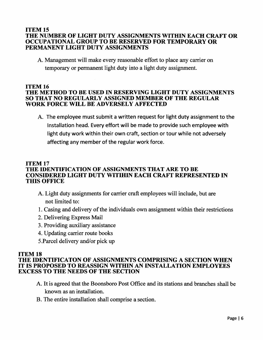#### ITEM 15 THE NUMBER OF LIGHT DUTY ASSIGNMENTS WITHIN EACH CRAFT OR OCCUPATIONAL GROUP TO BE RESERVED FOR TEMPORARY OR PERMANENT LIGHT DUTY ASSIGNMENTS

A. Management will make every reasonable effort to place any carrier on temporary or permanent light duty into a light duty assignment.

#### ITEM 16 THE METHOD TO BE USED IN RESERVING LIGHT DUTY ASSIGNMENTS SO THAT NO REGULARLY ASSIGNED MEMBER OF THE REGULAR WORK FORCE WILL BE ADVERSELY AFFECTED

A. The employee must submit a written request for light duty assignment to the Installation head. Every effort will be made to provide such employee with light duty work within their own craft, section or tour while not adversely affecting any member of the regular work force.

#### ITEM 17 THE IDENTIFICATION OF ASSIGNMENTS THAT ARE TO BE CONSIDERED LIGHT DUTY WITIHIN EACH CRAFT REPRESENTED IN THIS OFFICE

- A. Light duty assignments for carrier craft employees will include, but are not limited to:
- 1. Casing and delivery of the individuals own assignment within their restrictions
- 2. Delivering Express Mail
- 3. Providing auxiliary assistance
- 4. Updating carrier route books
- 5.Parcel delivery and/or pick up

# ITEM 18

#### THE IDENTIFICATON OF ASSIGNMENTS COMPRISING A SECTION WHEN IT IS PROPOSED TO REASSIGN WITHIN AN INSTALLATION EMPLOYEES EXCESS TO THE NEEDS OF THE SECTION

- A. It is agreed that the Boonsboro Post Office and its stations and branches shall be known as an installation.
- B. The entire installation shall comprise a section.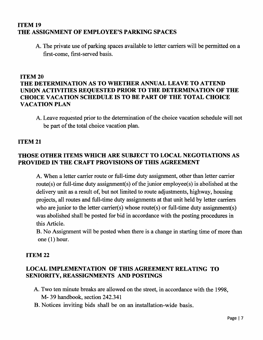## ITEM 19 THE ASSIGNMENT OF EMPLOYEE'S PARKING SPACES

A. The private use of parking spaces available to letter carriers will be permitted on a first-come, first-served basis.

## ITEM 20 THE DETERMINATION AS TO WHETHER ANNUAL LEAVE TO ATTEND UNION ACTIVITIES REQUESTED PRIOR TO THE DETERMINATION OF THE CHOICE VACATION SCHEDULE IS TO BE PART OF THE TOTAL CHOICE VACATION PLAN

A. Leave requested prior to the determination of the choice vacation schedule will not be part of the total choice vacation plan.

## ITEM 21

## THOSE OTHER ITEMS WHICH ARE SUBJECT TO LOCAL NEGOTIATIONS AS PROVIDED IN THE CRAFT PROVISIONS OF THIS AGREEMENT

A. When a letter carrier route or full-time duty assignment, other than letter carrier route(s) or full-time duty assignment(s) of the junior employee(s) is abolished at the delivery unit as a result of, but not limited to route adjustments, highway, housing projects, all routes and full-time duty assignments at that unit held by letter carriers who are junior to the letter carrier(s) whose route(s) or full-time duty assignment(s) was abolished shall be posted for bid in accordance with the posting procedures in this Article.

B. No Assignment will be posted when there is a change in starting time of more than one (1) hour.

#### ITEM 22

## LOCAL IMPLEMENTATION OF THIS AGREEMENT RELATING TO SENIORITY, REASSIGNMENTS AND POSTINGS

- A. Two ten minute breaks are allowed on the street, in accordance with the 1998, M- 39 handbook, section 242.341
- B. Notices inviting bids shall be on an installation-wide basis.